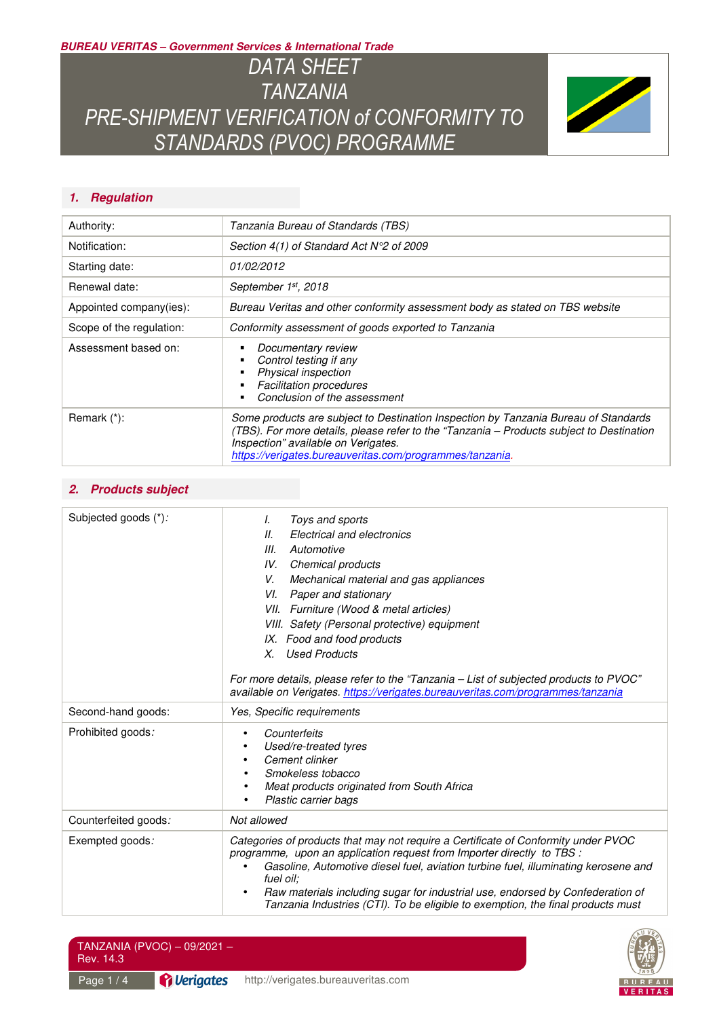**BUREAU VERITAS – Government Services & International Trade** 

*DATA SHEET TANZANIA PRE-SHIPMENT VERIFICATION of CONFORMITY TO STANDARDS (PVOC) PROGRAMME* 



# **1. Regulation**

| Authority:               | Tanzania Bureau of Standards (TBS)                                                                                                                                                                                                                                                 |
|--------------------------|------------------------------------------------------------------------------------------------------------------------------------------------------------------------------------------------------------------------------------------------------------------------------------|
| Notification:            | Section $4(1)$ of Standard Act $N^{\circ}2$ of 2009                                                                                                                                                                                                                                |
| Starting date:           | 01/02/2012                                                                                                                                                                                                                                                                         |
| Renewal date:            | September 1st, 2018                                                                                                                                                                                                                                                                |
| Appointed company(ies):  | Bureau Veritas and other conformity assessment body as stated on TBS website                                                                                                                                                                                                       |
| Scope of the regulation: | Conformity assessment of goods exported to Tanzania                                                                                                                                                                                                                                |
| Assessment based on:     | Documentary review<br>Control testing if any<br>Physical inspection<br><b>Facilitation procedures</b><br>Conclusion of the assessment                                                                                                                                              |
| Remark (*):              | Some products are subject to Destination Inspection by Tanzania Bureau of Standards<br>(TBS). For more details, please refer to the "Tanzania - Products subject to Destination<br>Inspection" available on Verigates.<br>https://verigates.bureauveritas.com/programmes/tanzania. |

### **2. Products subject**

| Subjected goods (*): | Toys and sports<br>I.<br>11.<br>Electrical and electronics<br>Ш.<br>Automotive<br>IV. Chemical products<br>V.<br>Mechanical material and gas appliances<br>VI.<br>Paper and stationary<br>VII. Furniture (Wood & metal articles)<br>VIII. Safety (Personal protective) equipment<br>IX. Food and food products<br><b>Used Products</b><br>Х.<br>For more details, please refer to the "Tanzania – List of subjected products to PVOC"<br>available on Verigates. https://verigates.bureauveritas.com/programmes/tanzania |  |
|----------------------|--------------------------------------------------------------------------------------------------------------------------------------------------------------------------------------------------------------------------------------------------------------------------------------------------------------------------------------------------------------------------------------------------------------------------------------------------------------------------------------------------------------------------|--|
| Second-hand goods:   | Yes, Specific requirements                                                                                                                                                                                                                                                                                                                                                                                                                                                                                               |  |
| Prohibited goods:    | Counterfeits<br>Used/re-treated tyres<br>Cement clinker<br>Smokeless tobacco<br>Meat products originated from South Africa<br>٠<br>Plastic carrier bags<br>٠                                                                                                                                                                                                                                                                                                                                                             |  |
| Counterfeited goods: | Not allowed                                                                                                                                                                                                                                                                                                                                                                                                                                                                                                              |  |
| Exempted goods:      | Categories of products that may not require a Certificate of Conformity under PVOC<br>programme, upon an application request from Importer directly to TBS :<br>Gasoline, Automotive diesel fuel, aviation turbine fuel, illuminating kerosene and<br>fuel oil:<br>Raw materials including sugar for industrial use, endorsed by Confederation of<br>$\bullet$<br>Tanzania Industries (CTI). To be eligible to exemption, the final products must                                                                        |  |



| Rev. 14.3  | TANZANIA (PVOC) – 09/2021 – , |                                    |
|------------|-------------------------------|------------------------------------|
| Page $1/4$ | <b>P</b> Verigates            | http://verigates.bureauveritas.com |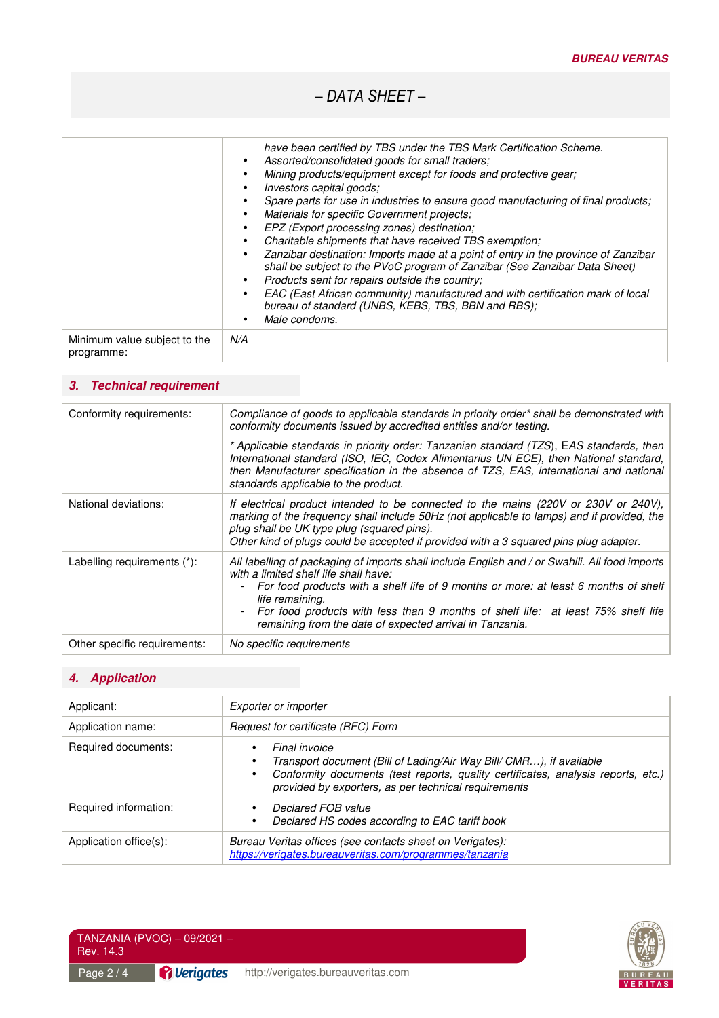*– DATA SHEET –* 

|                                            | have been certified by TBS under the TBS Mark Certification Scheme.<br>Assorted/consolidated goods for small traders;<br>$\bullet$<br>Mining products/equipment except for foods and protective gear;<br>Investors capital goods;<br>$\bullet$<br>Spare parts for use in industries to ensure good manufacturing of final products;<br>Materials for specific Government projects:<br>$\bullet$<br>EPZ (Export processing zones) destination;<br>$\bullet$<br>Charitable shipments that have received TBS exemption;<br>$\bullet$<br>Zanzibar destination: Imports made at a point of entry in the province of Zanzibar<br>shall be subject to the PVoC program of Zanzibar (See Zanzibar Data Sheet)<br>Products sent for repairs outside the country;<br>$\bullet$<br>EAC (East African community) manufactured and with certification mark of local<br>bureau of standard (UNBS, KEBS, TBS, BBN and RBS);<br>Male condoms. |
|--------------------------------------------|-------------------------------------------------------------------------------------------------------------------------------------------------------------------------------------------------------------------------------------------------------------------------------------------------------------------------------------------------------------------------------------------------------------------------------------------------------------------------------------------------------------------------------------------------------------------------------------------------------------------------------------------------------------------------------------------------------------------------------------------------------------------------------------------------------------------------------------------------------------------------------------------------------------------------------|
| Minimum value subject to the<br>programme: | N/A                                                                                                                                                                                                                                                                                                                                                                                                                                                                                                                                                                                                                                                                                                                                                                                                                                                                                                                           |

## **3. Technical requirement**

| Conformity requirements:     | Compliance of goods to applicable standards in priority order* shall be demonstrated with<br>conformity documents issued by accredited entities and/or testing.<br>* Applicable standards in priority order: Tanzanian standard (TZS), EAS standards, then<br>International standard (ISO, IEC, Codex Alimentarius UN ECE), then National standard,<br>then Manufacturer specification in the absence of TZS, EAS, international and national<br>standards applicable to the product. |
|------------------------------|---------------------------------------------------------------------------------------------------------------------------------------------------------------------------------------------------------------------------------------------------------------------------------------------------------------------------------------------------------------------------------------------------------------------------------------------------------------------------------------|
| National deviations:         | If electrical product intended to be connected to the mains (220V or 230V or 240V),<br>marking of the frequency shall include 50Hz (not applicable to lamps) and if provided, the<br>plug shall be UK type plug (squared pins).<br>Other kind of plugs could be accepted if provided with a 3 squared pins plug adapter.                                                                                                                                                              |
| Labelling requirements (*):  | All labelling of packaging of imports shall include English and / or Swahili. All food imports<br>with a limited shelf life shall have:<br>For food products with a shelf life of 9 months or more: at least 6 months of shelf<br>life remaining.<br>For food products with less than 9 months of shelf life: at least 75% shelf life<br>remaining from the date of expected arrival in Tanzania.                                                                                     |
| Other specific requirements: | No specific requirements                                                                                                                                                                                                                                                                                                                                                                                                                                                              |

# **4. Application**

| Applicant:             | Exporter or importer                                                                                                                                                                                                                                        |  |
|------------------------|-------------------------------------------------------------------------------------------------------------------------------------------------------------------------------------------------------------------------------------------------------------|--|
| Application name:      | Request for certificate (RFC) Form                                                                                                                                                                                                                          |  |
| Required documents:    | Final invoice<br>$\bullet$<br>Transport document (Bill of Lading/Air Way Bill/ CMR), if available<br>Conformity documents (test reports, quality certificates, analysis reports, etc.)<br>$\bullet$<br>provided by exporters, as per technical requirements |  |
| Required information:  | Declared FOB value<br>Declared HS codes according to EAC tariff book<br>٠                                                                                                                                                                                   |  |
| Application office(s): | Bureau Veritas offices (see contacts sheet on Verigates):<br>https://verigates.bureauveritas.com/programmes/tanzania                                                                                                                                        |  |

Page 2/4

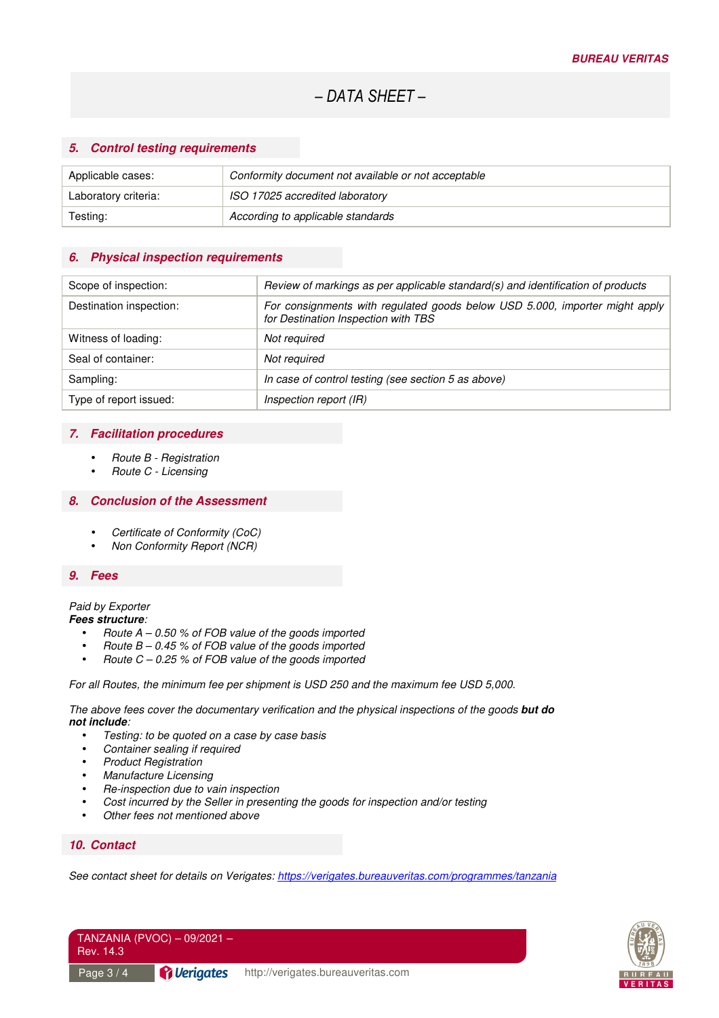#### **5. Control testing requirements**

| Applicable cases:    | Conformity document not available or not acceptable |
|----------------------|-----------------------------------------------------|
| Laboratory criteria: | ISO 17025 accredited laboratory                     |
| Testing:             | According to applicable standards                   |

#### **6. Physical inspection requirements**

| Scope of inspection:    | Review of markings as per applicable standard(s) and identification of products                                    |
|-------------------------|--------------------------------------------------------------------------------------------------------------------|
| Destination inspection: | For consignments with regulated goods below USD 5.000, importer might apply<br>for Destination Inspection with TBS |
| Witness of loading:     | Not required                                                                                                       |
| Seal of container:      | Not required                                                                                                       |
| Sampling:               | In case of control testing (see section 5 as above)                                                                |
| Type of report issued:  | Inspection report (IR)                                                                                             |

#### **7. Facilitation procedures**

- Route B Registration
- Route C Licensing

#### **8. Conclusion of the Assessment**

- Certificate of Conformity (CoC)
- Non Conformity Report (NCR)

#### **9. Fees**

#### Paid by Exporter

**Fees structure**:

- Route  $A 0.50$  % of FOB value of the goods imported
- Route  $B 0.45$  % of FOB value of the goods imported
- Route  $C 0.25$  % of FOB value of the goods imported

For all Routes, the minimum fee per shipment is USD 250 and the maximum fee USD 5,000.

The above fees cover the documentary verification and the physical inspections of the goods **but do not include**:

- Testing: to be quoted on a case by case basis
- Container sealing if required
- Product Registration
- Manufacture Licensing
- Re-inspection due to vain inspection
- Cost incurred by the Seller in presenting the goods for inspection and/or testing
- Other fees not mentioned above

#### **10. Contact**

See contact sheet for details on Verigates: https://verigates.bureauveritas.com/programmes/tanzania



| TANZANIA (PVOC) - 09/2021 -<br>Rev. 14.3 |                                  |                                    |
|------------------------------------------|----------------------------------|------------------------------------|
| Page $3/4$                               | <i><u><b>A</b></u></i> Verigates | http://verigates.bureauveritas.com |